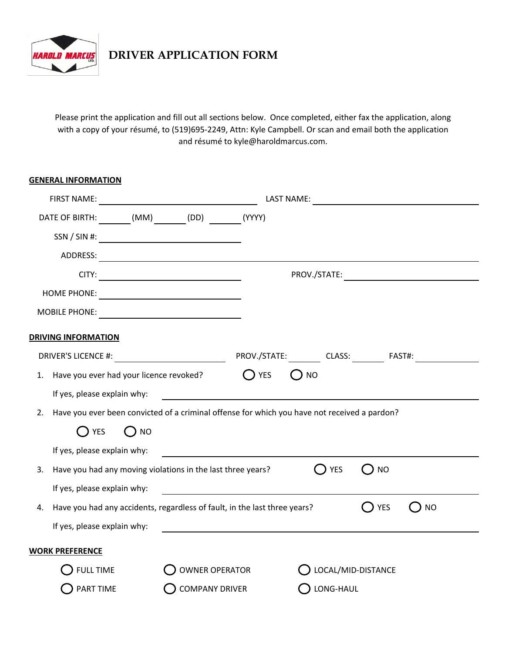

**DRIVER APPLICATION FORM**

Please print the application and fill out all sections below. Once completed, either fax the application, along with a copy of your résumé, to (519)695-2249, Attn: Kyle Campbell. Or scan and email both the application and résumé to kyle@haroldmarcus.com.

| <b>GENERAL INFORMATION</b>                                                                         |                       |               |                    |        |    |
|----------------------------------------------------------------------------------------------------|-----------------------|---------------|--------------------|--------|----|
|                                                                                                    |                       |               | LAST NAME:         |        |    |
| DATE OF BIRTH: (MM) (DD) (YYYY)                                                                    |                       |               |                    |        |    |
|                                                                                                    |                       |               |                    |        |    |
|                                                                                                    |                       |               |                    |        |    |
|                                                                                                    |                       |               |                    |        |    |
|                                                                                                    |                       |               |                    |        |    |
|                                                                                                    |                       |               |                    |        |    |
| <b>DRIVING INFORMATION</b>                                                                         |                       |               |                    |        |    |
|                                                                                                    |                       |               |                    |        |    |
| 1. Have you ever had your licence revoked?                                                         |                       | $\bigcap$ YES | $()$ NO            |        |    |
| If yes, please explain why:                                                                        |                       |               |                    |        |    |
| Have you ever been convicted of a criminal offense for which you have not received a pardon?<br>2. |                       |               |                    |        |    |
| T YES<br>$()$ NO                                                                                   |                       |               |                    |        |    |
| If yes, please explain why:                                                                        |                       |               |                    |        |    |
| Have you had any moving violations in the last three years?<br>3.                                  |                       |               | $()$ YES           | () NO  |    |
| If yes, please explain why:                                                                        |                       |               |                    |        |    |
| Have you had any accidents, regardless of fault, in the last three years?<br>4.                    |                       |               |                    | () YES | NO |
| If yes, please explain why:                                                                        |                       |               |                    |        |    |
| <b>WORK PREFERENCE</b>                                                                             |                       |               |                    |        |    |
| <b>FULL TIME</b>                                                                                   | <b>OWNER OPERATOR</b> |               | LOCAL/MID-DISTANCE |        |    |
| PART TIME                                                                                          | <b>COMPANY DRIVER</b> |               | LONG-HAUL          |        |    |